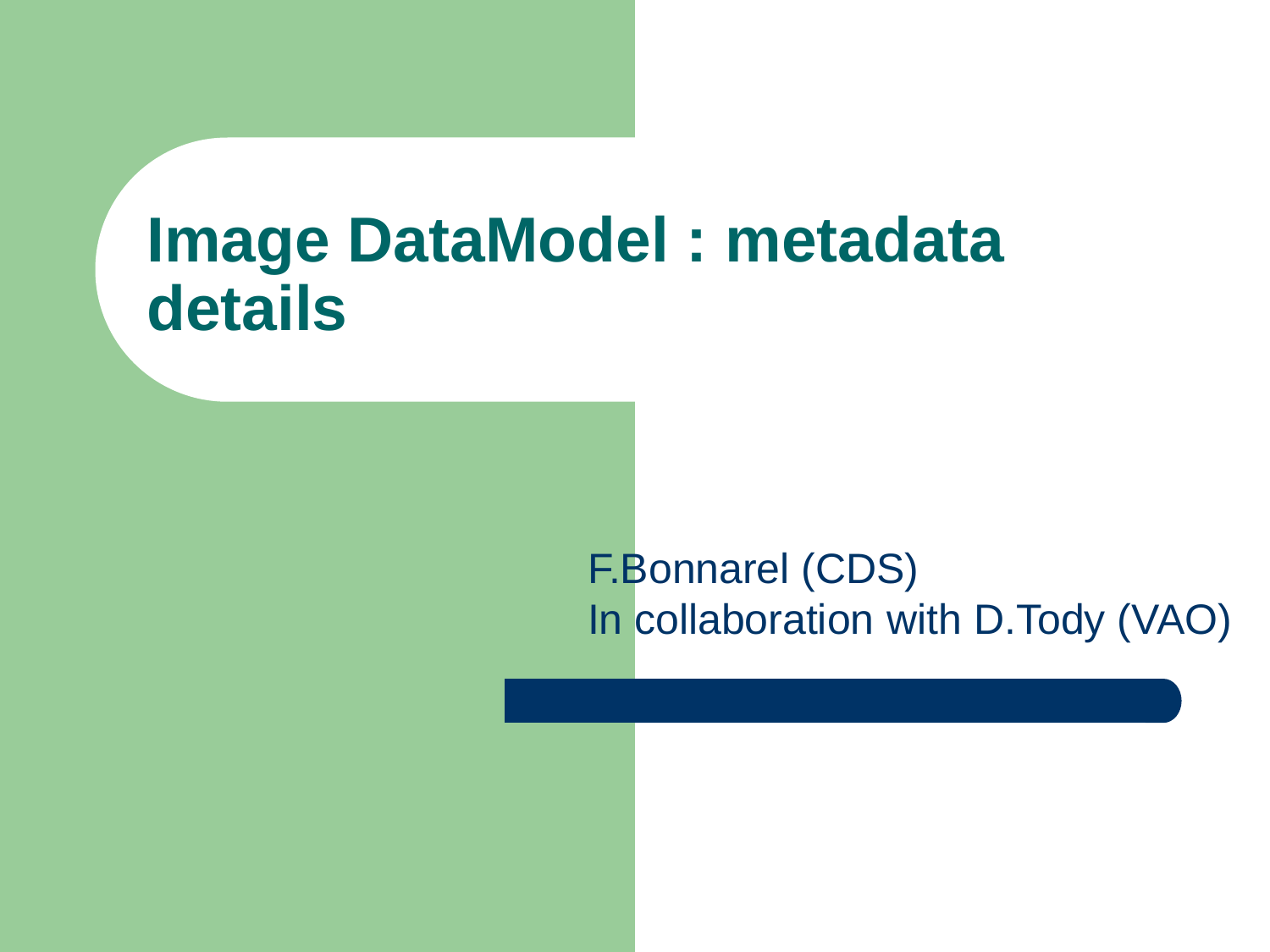#### **Image DataModel : metadata details**

#### F.Bonnarel (CDS) In collaboration with D.Tody (VAO)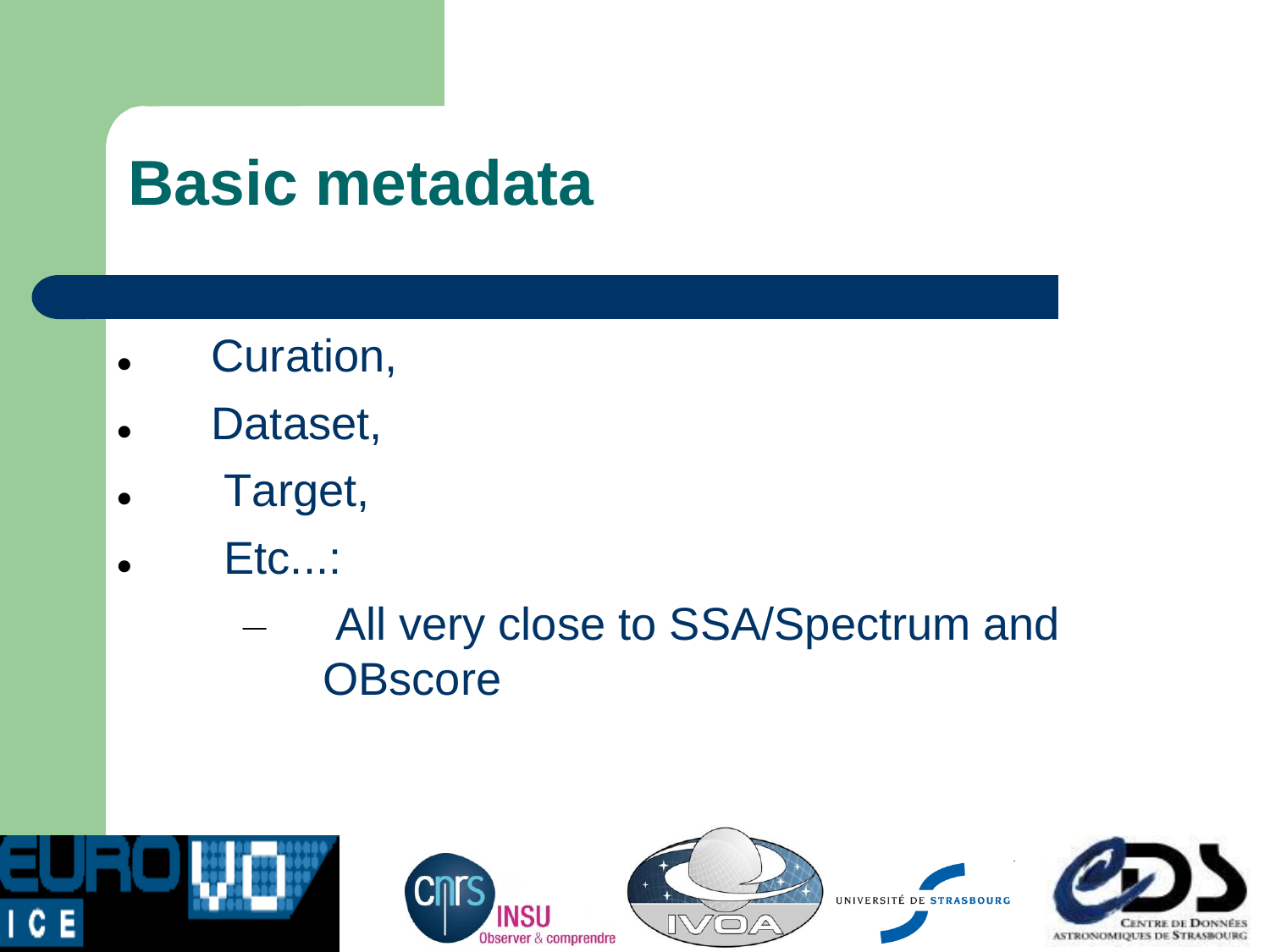#### **Basic metadata**

- Curation,
- Dataset,
- Target,
- Etc...:
	- All very close to SSA/Spectrum and **OBscore**



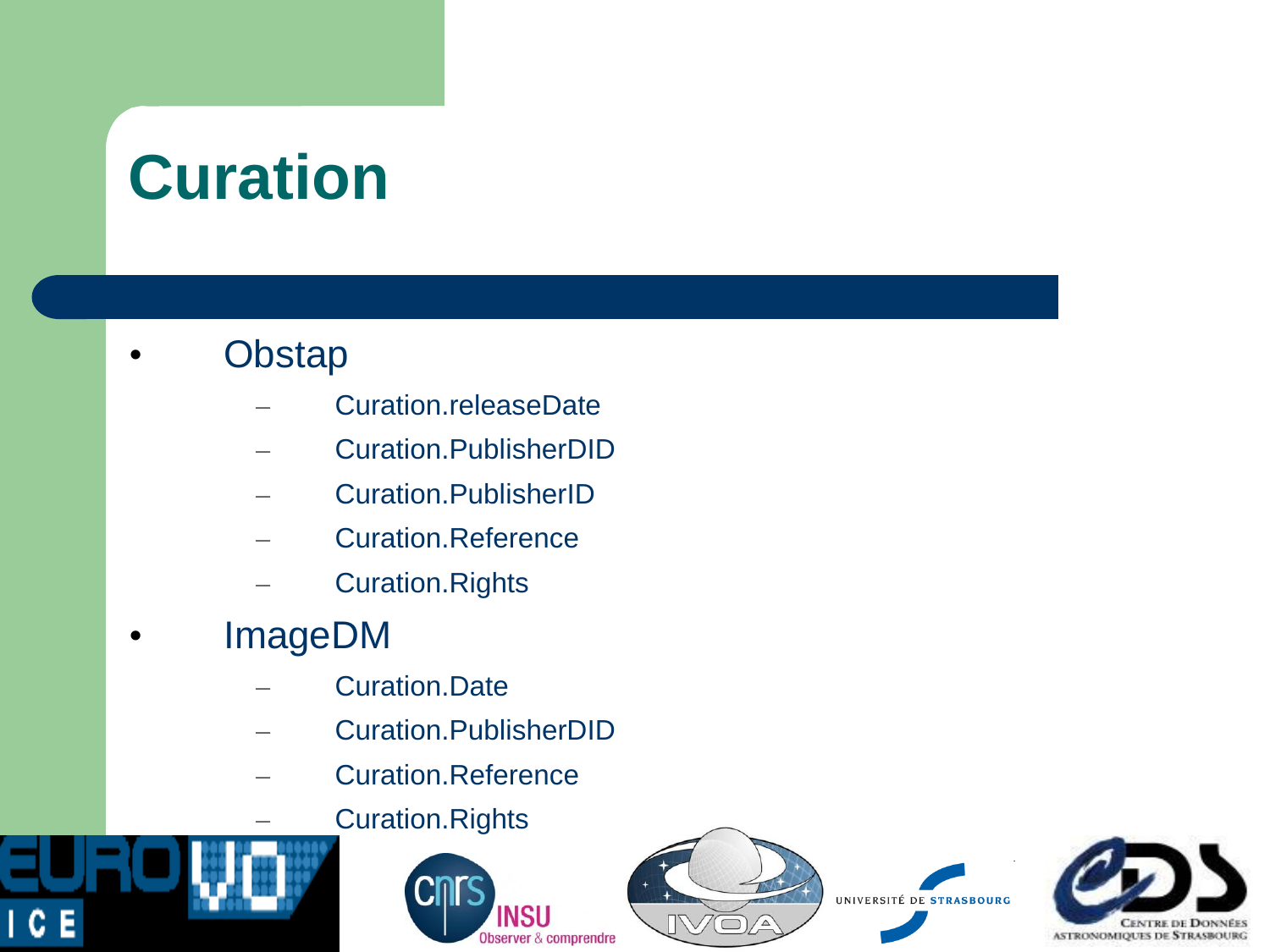## **Curation**

#### **Obstap**

- Curation.releaseDate
- Curation.PublisherDID
- Curation.PublisherID
- Curation.Reference
- Curation.Rights
- ImageDM

1 C E

- Curation.Date
- Curation.PublisherDID
- Curation.Reference
	- Curation.Rights





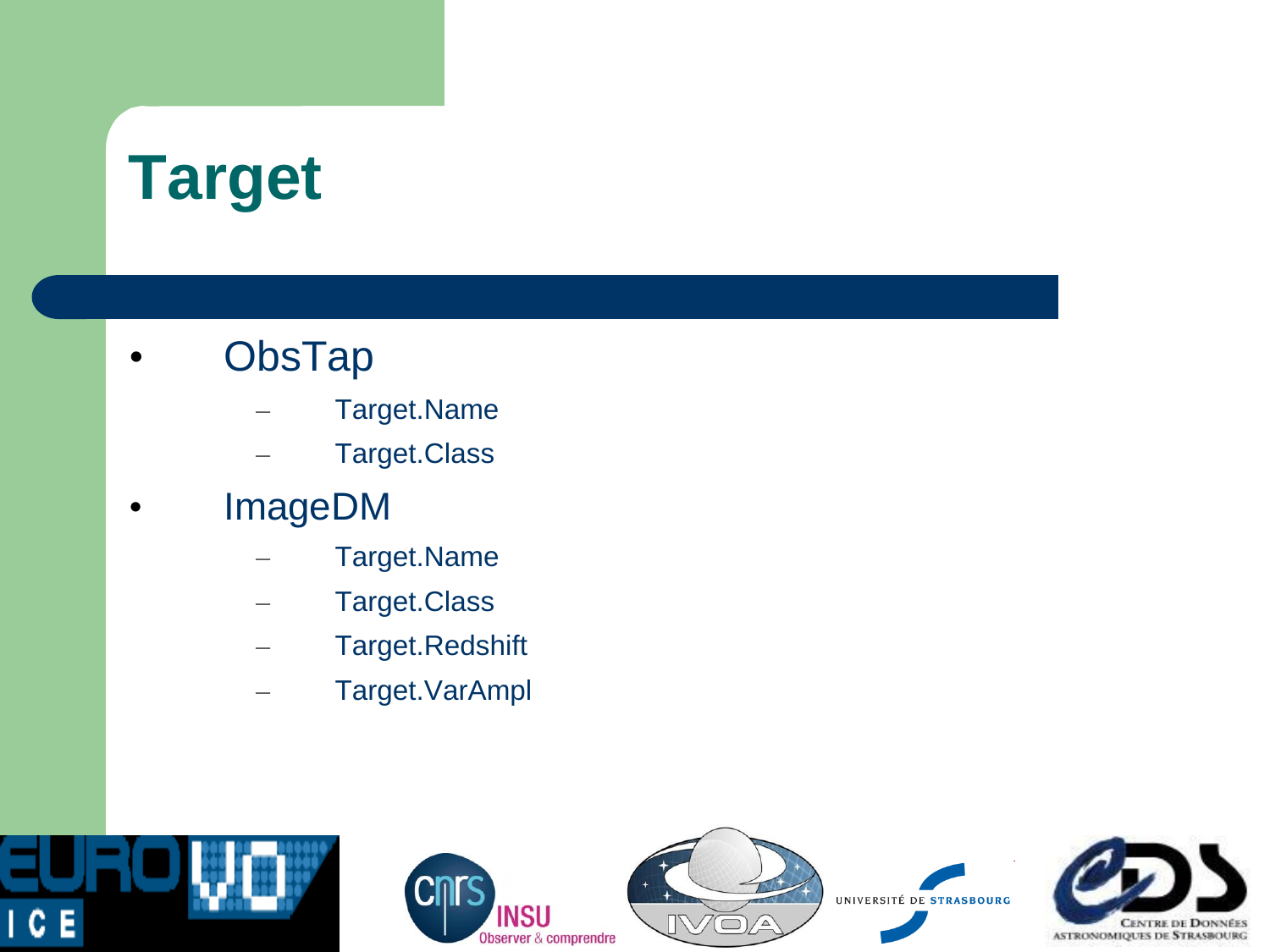## **Target**

- **ObsTap** 
	- Target.Name
	- Target.Class
- ImageDM
	- Target.Name
	- Target.Class
	- Target.Redshift
	- Target.VarAmpl

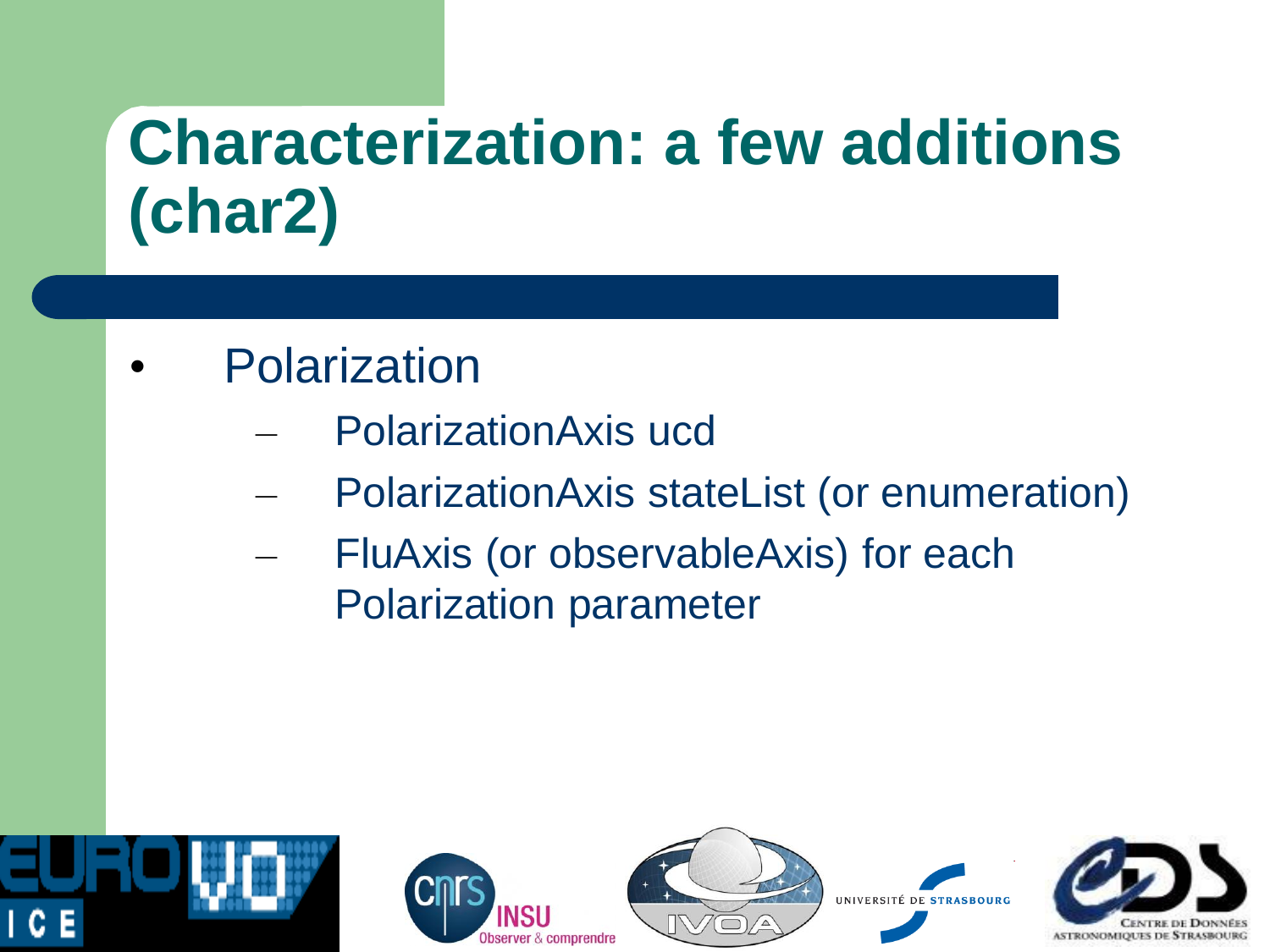## **Characterization: a few additions (char2)**

- **Polarization** 
	- PolarizationAxis ucd
	- PolarizationAxis stateList (or enumeration)
	- FluAxis (or observableAxis) for each Polarization parameter

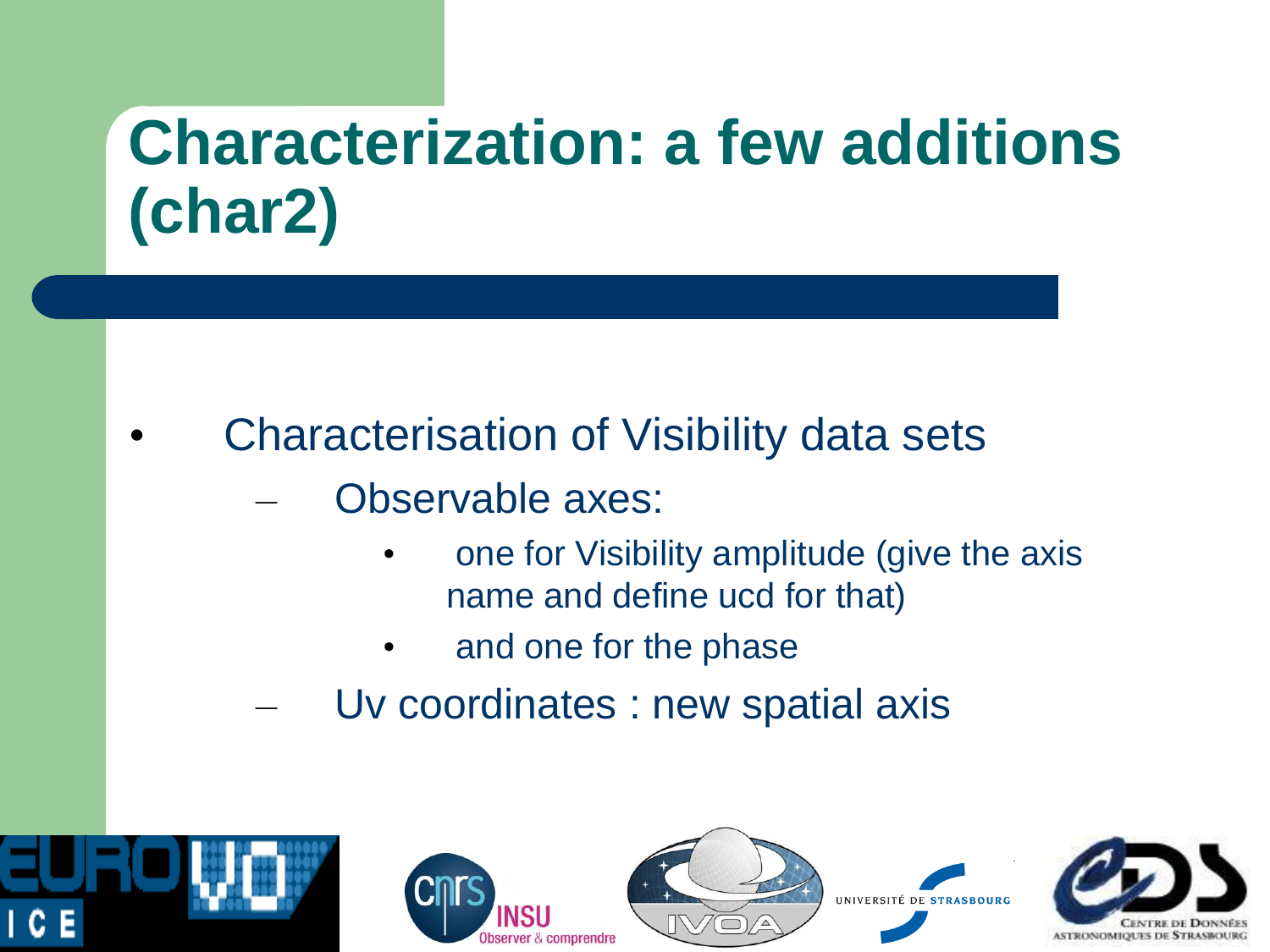## **Characterization: a few additions (char2)**

- Characterisation of Visibility data sets
	- Observable axes:
		- one for Visibility amplitude (give the axis name and define ucd for that)
		- and one for the phase
	- Uv coordinates : new spatial axis



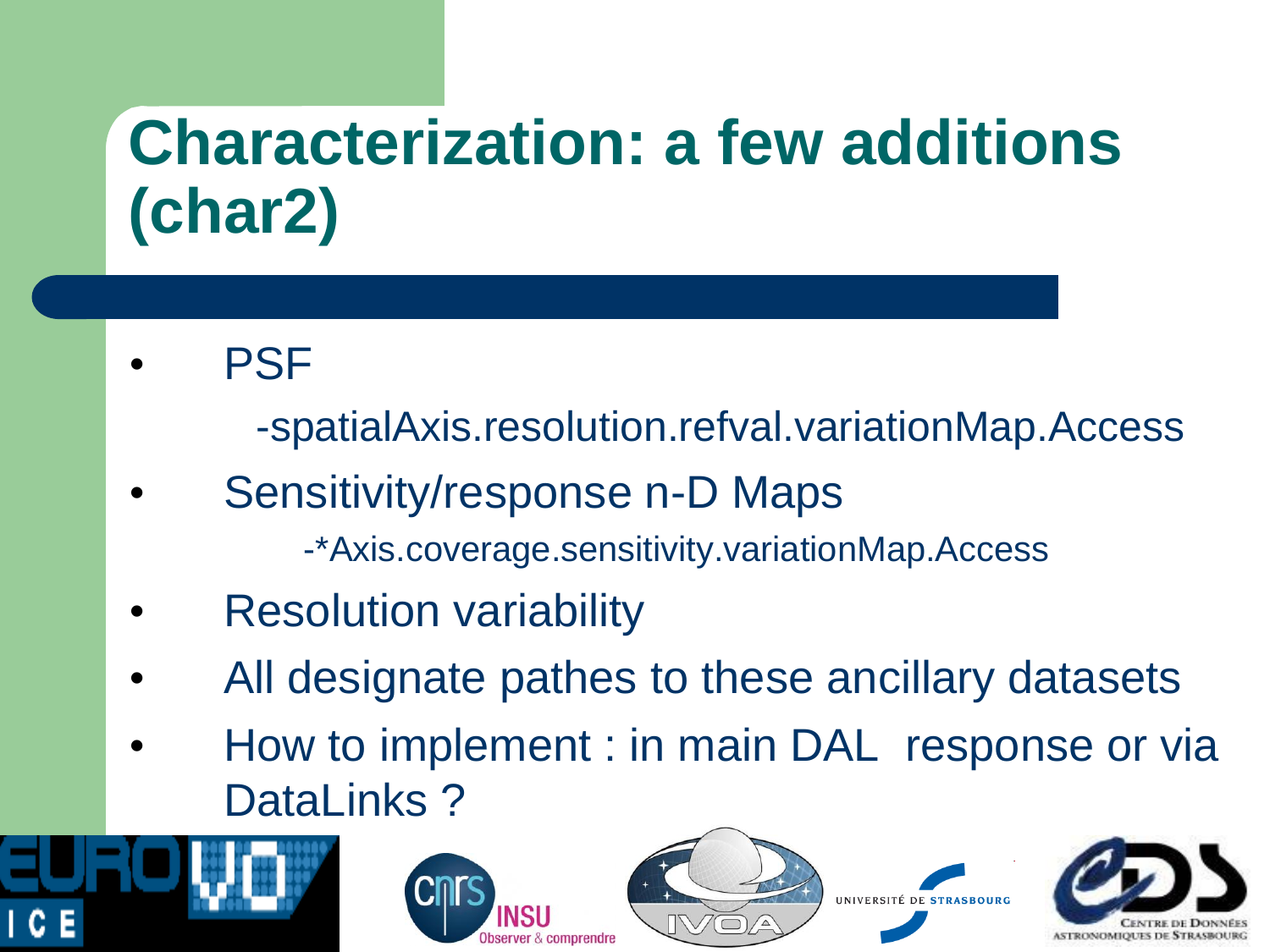## **Characterization: a few additions (char2)**

**PSF** 

-spatialAxis.resolution.refval.variationMap.Access

- Sensitivity/response n-D Maps
	- -\*Axis.coverage.sensitivity.variationMap.Access
- **Resolution variability**
- All designate pathes to these ancillary datasets
- How to implement : in main DAL response or via DataLinks ?







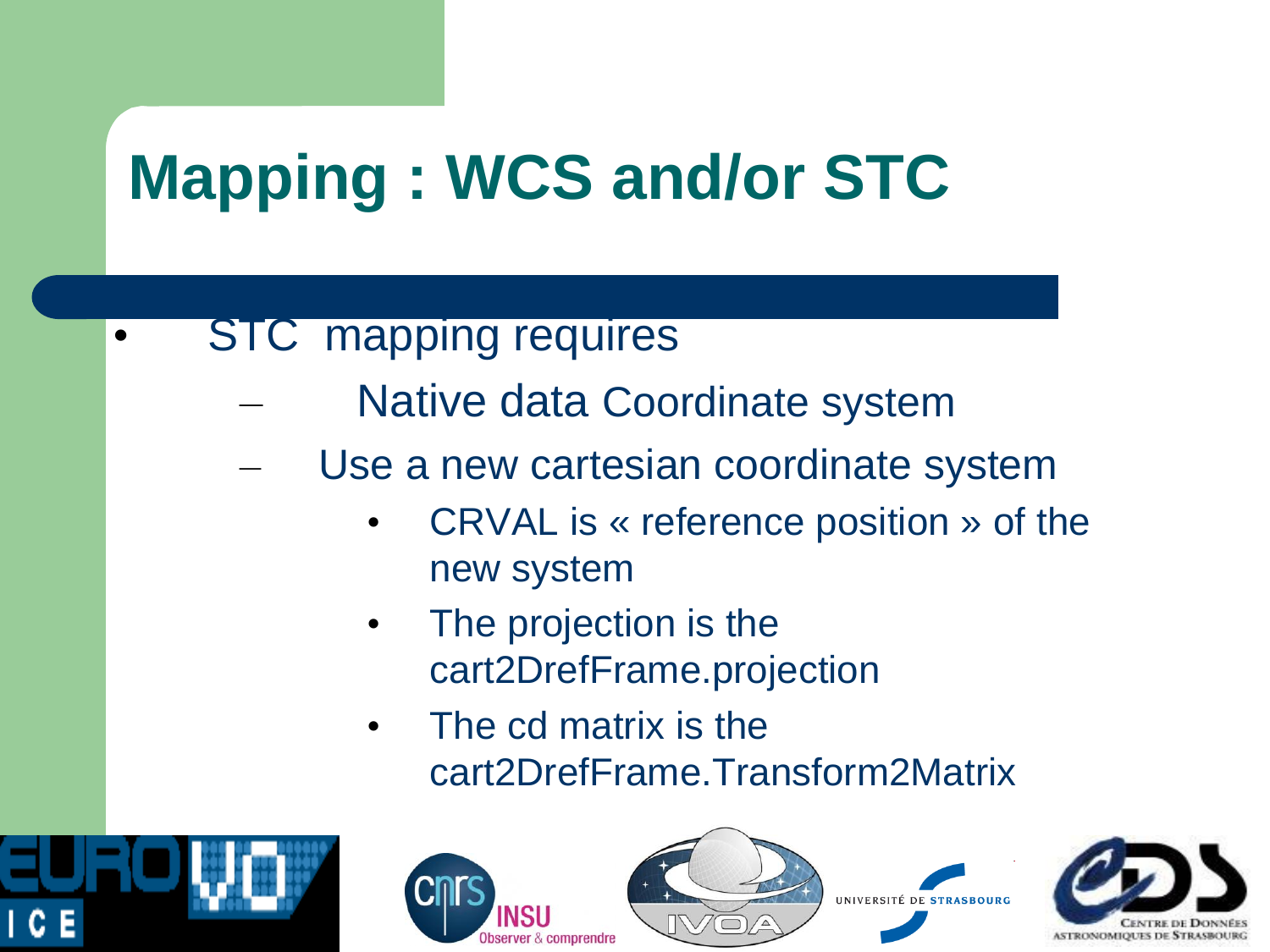# **Mapping : WCS and/or STC**

- **STC** mapping requires
	- Native data Coordinate system
	- Use a new cartesian coordinate system
		- CRVAL is « reference position » of the new system
		- The projection is the cart2DrefFrame.projection
		- The cd matrix is the cart2DrefFrame.Transform2Matrix







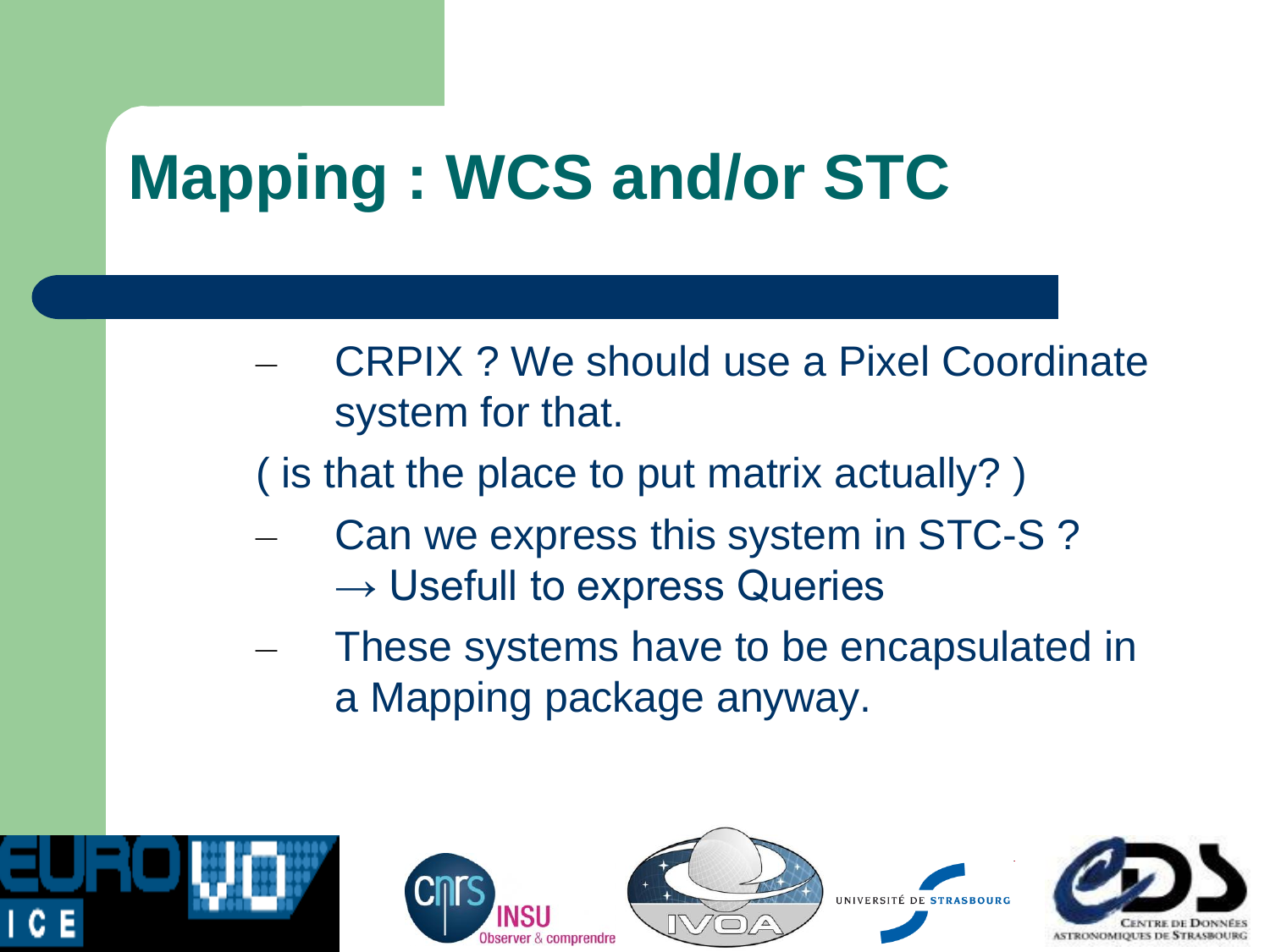# **Mapping : WCS and/or STC**

- CRPIX ? We should use a Pixel Coordinate system for that.
- ( is that the place to put matrix actually? )
- Can we express this system in STC-S?  $\rightarrow$  Usefull to express Queries
- These systems have to be encapsulated in a Mapping package anyway.